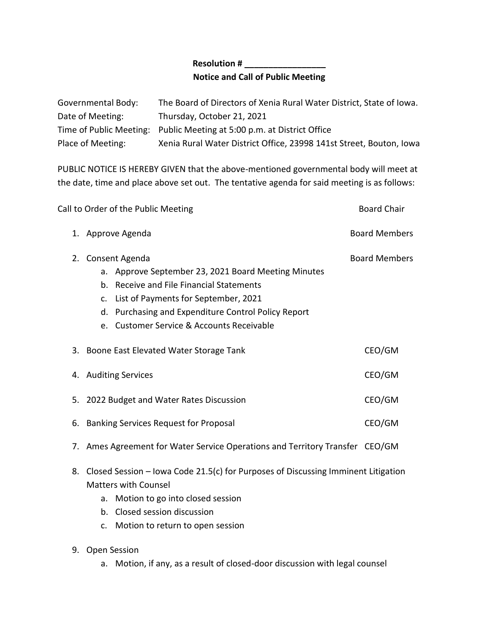## **Resolution # \_\_\_\_\_\_\_\_\_\_\_\_\_\_\_\_\_ Notice and Call of Public Meeting**

| Governmental Body: | The Board of Directors of Xenia Rural Water District, State of Iowa.   |
|--------------------|------------------------------------------------------------------------|
| Date of Meeting:   | Thursday, October 21, 2021                                             |
|                    | Time of Public Meeting: Public Meeting at 5:00 p.m. at District Office |
| Place of Meeting:  | Xenia Rural Water District Office, 23998 141st Street, Bouton, Iowa    |

PUBLIC NOTICE IS HEREBY GIVEN that the above-mentioned governmental body will meet at the date, time and place above set out. The tentative agenda for said meeting is as follows:

|    | Call to Order of the Public Meeting                                                                                                                                                                                                                              | <b>Board Chair</b>   |  |
|----|------------------------------------------------------------------------------------------------------------------------------------------------------------------------------------------------------------------------------------------------------------------|----------------------|--|
|    | 1. Approve Agenda                                                                                                                                                                                                                                                | <b>Board Members</b> |  |
| 2. | Consent Agenda<br>a. Approve September 23, 2021 Board Meeting Minutes<br>b. Receive and File Financial Statements<br>c. List of Payments for September, 2021<br>d. Purchasing and Expenditure Control Policy Report<br>e. Customer Service & Accounts Receivable | <b>Board Members</b> |  |
|    | 3. Boone East Elevated Water Storage Tank                                                                                                                                                                                                                        | CEO/GM               |  |
|    | 4. Auditing Services                                                                                                                                                                                                                                             | CEO/GM               |  |
|    | 5. 2022 Budget and Water Rates Discussion                                                                                                                                                                                                                        | CEO/GM               |  |
|    | CEO/GM<br>6. Banking Services Request for Proposal                                                                                                                                                                                                               |                      |  |
|    | 7. Ames Agreement for Water Service Operations and Territory Transfer CEO/GM                                                                                                                                                                                     |                      |  |
| 8. | Closed Session - Iowa Code 21.5(c) for Purposes of Discussing Imminent Litigation<br><b>Matters with Counsel</b><br>a. Motion to go into closed session                                                                                                          |                      |  |

- b. Closed session discussion
- c. Motion to return to open session
- 9. Open Session
	- a. Motion, if any, as a result of closed-door discussion with legal counsel